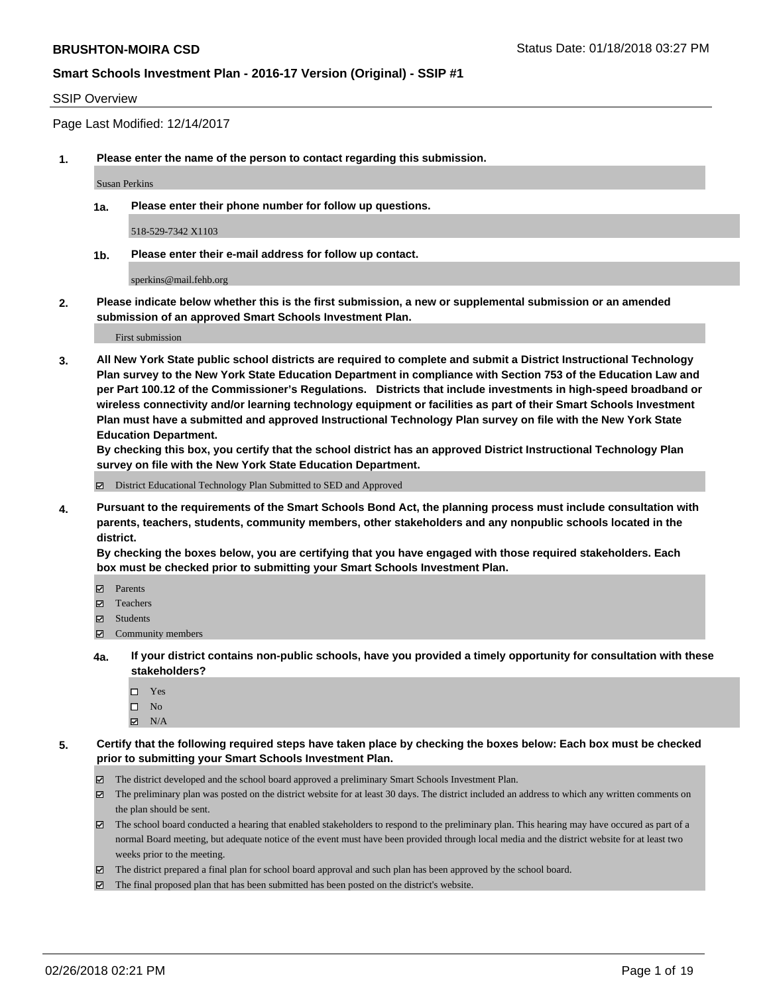#### SSIP Overview

Page Last Modified: 12/14/2017

**1. Please enter the name of the person to contact regarding this submission.**

Susan Perkins

**1a. Please enter their phone number for follow up questions.**

518-529-7342 X1103

**1b. Please enter their e-mail address for follow up contact.**

sperkins@mail.fehb.org

**2. Please indicate below whether this is the first submission, a new or supplemental submission or an amended submission of an approved Smart Schools Investment Plan.**

First submission

**3. All New York State public school districts are required to complete and submit a District Instructional Technology Plan survey to the New York State Education Department in compliance with Section 753 of the Education Law and per Part 100.12 of the Commissioner's Regulations. Districts that include investments in high-speed broadband or wireless connectivity and/or learning technology equipment or facilities as part of their Smart Schools Investment Plan must have a submitted and approved Instructional Technology Plan survey on file with the New York State Education Department.** 

**By checking this box, you certify that the school district has an approved District Instructional Technology Plan survey on file with the New York State Education Department.**

District Educational Technology Plan Submitted to SED and Approved

**4. Pursuant to the requirements of the Smart Schools Bond Act, the planning process must include consultation with parents, teachers, students, community members, other stakeholders and any nonpublic schools located in the district.** 

**By checking the boxes below, you are certifying that you have engaged with those required stakeholders. Each box must be checked prior to submitting your Smart Schools Investment Plan.**

- Parents
- Teachers
- Students
- $\Xi$  Community members
- **4a. If your district contains non-public schools, have you provided a timely opportunity for consultation with these stakeholders?**
	- Yes
	- $\square$  No
	- $\boxtimes$  N/A
- **5. Certify that the following required steps have taken place by checking the boxes below: Each box must be checked prior to submitting your Smart Schools Investment Plan.**
	- The district developed and the school board approved a preliminary Smart Schools Investment Plan.
	- $\boxtimes$  The preliminary plan was posted on the district website for at least 30 days. The district included an address to which any written comments on the plan should be sent.
	- $\boxtimes$  The school board conducted a hearing that enabled stakeholders to respond to the preliminary plan. This hearing may have occured as part of a normal Board meeting, but adequate notice of the event must have been provided through local media and the district website for at least two weeks prior to the meeting.
	- The district prepared a final plan for school board approval and such plan has been approved by the school board.
	- $\boxtimes$  The final proposed plan that has been submitted has been posted on the district's website.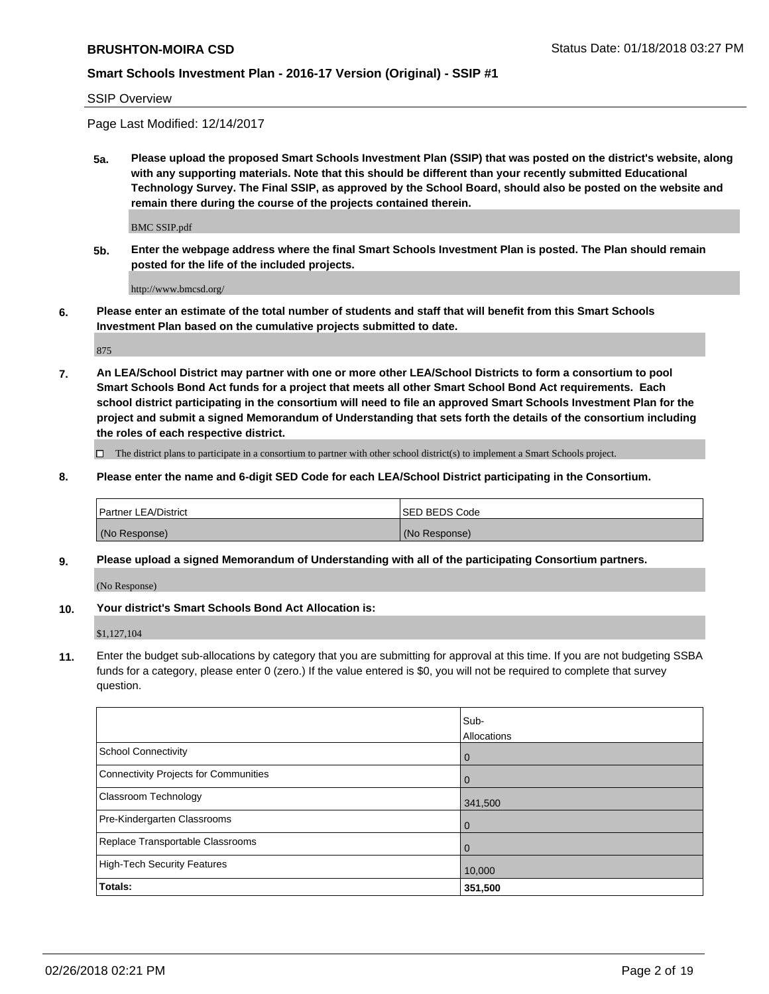SSIP Overview

Page Last Modified: 12/14/2017

**5a. Please upload the proposed Smart Schools Investment Plan (SSIP) that was posted on the district's website, along with any supporting materials. Note that this should be different than your recently submitted Educational Technology Survey. The Final SSIP, as approved by the School Board, should also be posted on the website and remain there during the course of the projects contained therein.**

BMC SSIP.pdf

**5b. Enter the webpage address where the final Smart Schools Investment Plan is posted. The Plan should remain posted for the life of the included projects.**

http://www.bmcsd.org/

**6. Please enter an estimate of the total number of students and staff that will benefit from this Smart Schools Investment Plan based on the cumulative projects submitted to date.**

875

**7. An LEA/School District may partner with one or more other LEA/School Districts to form a consortium to pool Smart Schools Bond Act funds for a project that meets all other Smart School Bond Act requirements. Each school district participating in the consortium will need to file an approved Smart Schools Investment Plan for the project and submit a signed Memorandum of Understanding that sets forth the details of the consortium including the roles of each respective district.**

 $\Box$  The district plans to participate in a consortium to partner with other school district(s) to implement a Smart Schools project.

**8. Please enter the name and 6-digit SED Code for each LEA/School District participating in the Consortium.**

| <b>Partner LEA/District</b> | <b>ISED BEDS Code</b> |
|-----------------------------|-----------------------|
| (No Response)               | (No Response)         |

#### **9. Please upload a signed Memorandum of Understanding with all of the participating Consortium partners.**

(No Response)

**10. Your district's Smart Schools Bond Act Allocation is:**

\$1,127,104

**11.** Enter the budget sub-allocations by category that you are submitting for approval at this time. If you are not budgeting SSBA funds for a category, please enter 0 (zero.) If the value entered is \$0, you will not be required to complete that survey question.

|                                              | Sub-<br>Allocations |
|----------------------------------------------|---------------------|
| <b>School Connectivity</b>                   | $\mathbf 0$         |
| <b>Connectivity Projects for Communities</b> | $\Omega$            |
| Classroom Technology                         | 341,500             |
| Pre-Kindergarten Classrooms                  | $\overline{0}$      |
| Replace Transportable Classrooms             | 0                   |
| <b>High-Tech Security Features</b>           | 10,000              |
| Totals:                                      | 351,500             |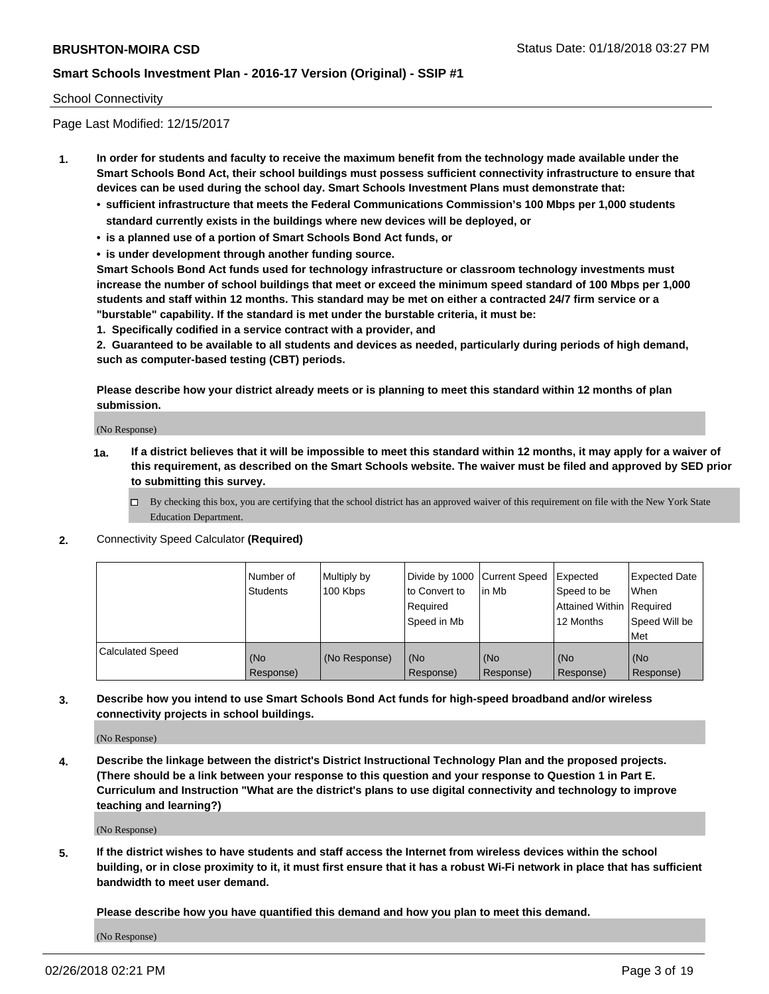#### School Connectivity

Page Last Modified: 12/15/2017

- **1. In order for students and faculty to receive the maximum benefit from the technology made available under the Smart Schools Bond Act, their school buildings must possess sufficient connectivity infrastructure to ensure that devices can be used during the school day. Smart Schools Investment Plans must demonstrate that:**
	- **• sufficient infrastructure that meets the Federal Communications Commission's 100 Mbps per 1,000 students standard currently exists in the buildings where new devices will be deployed, or**
	- **• is a planned use of a portion of Smart Schools Bond Act funds, or**
	- **• is under development through another funding source.**

**Smart Schools Bond Act funds used for technology infrastructure or classroom technology investments must increase the number of school buildings that meet or exceed the minimum speed standard of 100 Mbps per 1,000 students and staff within 12 months. This standard may be met on either a contracted 24/7 firm service or a "burstable" capability. If the standard is met under the burstable criteria, it must be:**

**1. Specifically codified in a service contract with a provider, and**

**2. Guaranteed to be available to all students and devices as needed, particularly during periods of high demand, such as computer-based testing (CBT) periods.**

**Please describe how your district already meets or is planning to meet this standard within 12 months of plan submission.**

(No Response)

- **1a. If a district believes that it will be impossible to meet this standard within 12 months, it may apply for a waiver of this requirement, as described on the Smart Schools website. The waiver must be filed and approved by SED prior to submitting this survey.**
	- By checking this box, you are certifying that the school district has an approved waiver of this requirement on file with the New York State Education Department.
- **2.** Connectivity Speed Calculator **(Required)**

|                         | l Number of<br><b>Students</b> | Multiply by<br>100 Kbps | Divide by 1000 Current Speed<br>to Convert to<br>Required<br>l Speed in Mb | lin Mb           | Expected<br>Speed to be<br>Attained Within Required<br>12 Months | Expected Date<br><b>When</b><br>Speed Will be<br>l Met |
|-------------------------|--------------------------------|-------------------------|----------------------------------------------------------------------------|------------------|------------------------------------------------------------------|--------------------------------------------------------|
| <b>Calculated Speed</b> | (No<br>Response)               | (No Response)           | (No<br>Response)                                                           | (No<br>Response) | (No<br>Response)                                                 | l (No<br>Response)                                     |

**3. Describe how you intend to use Smart Schools Bond Act funds for high-speed broadband and/or wireless connectivity projects in school buildings.**

(No Response)

**4. Describe the linkage between the district's District Instructional Technology Plan and the proposed projects. (There should be a link between your response to this question and your response to Question 1 in Part E. Curriculum and Instruction "What are the district's plans to use digital connectivity and technology to improve teaching and learning?)**

(No Response)

**5. If the district wishes to have students and staff access the Internet from wireless devices within the school building, or in close proximity to it, it must first ensure that it has a robust Wi-Fi network in place that has sufficient bandwidth to meet user demand.**

**Please describe how you have quantified this demand and how you plan to meet this demand.**

(No Response)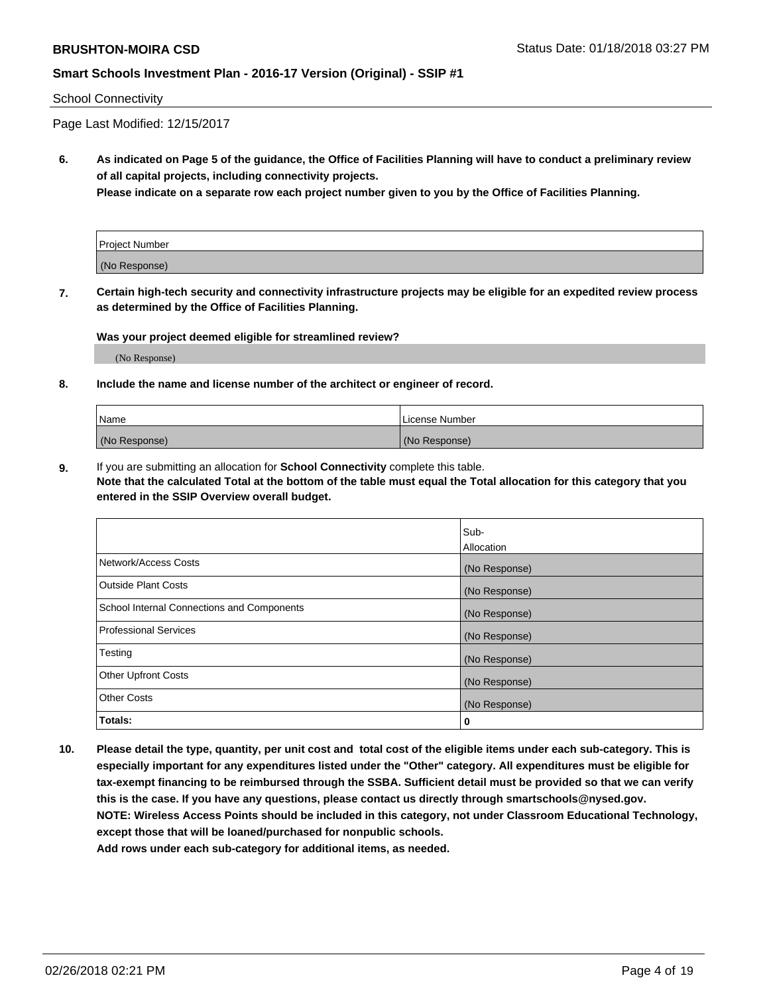#### School Connectivity

Page Last Modified: 12/15/2017

**6. As indicated on Page 5 of the guidance, the Office of Facilities Planning will have to conduct a preliminary review of all capital projects, including connectivity projects.**

**Please indicate on a separate row each project number given to you by the Office of Facilities Planning.**

| <b>Project Number</b> |  |
|-----------------------|--|
| (No Response)         |  |

**7. Certain high-tech security and connectivity infrastructure projects may be eligible for an expedited review process as determined by the Office of Facilities Planning.**

#### **Was your project deemed eligible for streamlined review?**

(No Response)

#### **8. Include the name and license number of the architect or engineer of record.**

| Name          | License Number |
|---------------|----------------|
| (No Response) | (No Response)  |

**9.** If you are submitting an allocation for **School Connectivity** complete this table.

**Note that the calculated Total at the bottom of the table must equal the Total allocation for this category that you entered in the SSIP Overview overall budget.** 

|                                            | Sub-          |
|--------------------------------------------|---------------|
|                                            | Allocation    |
| Network/Access Costs                       | (No Response) |
| Outside Plant Costs                        | (No Response) |
| School Internal Connections and Components | (No Response) |
| Professional Services                      | (No Response) |
| Testing                                    | (No Response) |
| <b>Other Upfront Costs</b>                 | (No Response) |
| <b>Other Costs</b>                         | (No Response) |
| Totals:                                    | 0             |

**10. Please detail the type, quantity, per unit cost and total cost of the eligible items under each sub-category. This is especially important for any expenditures listed under the "Other" category. All expenditures must be eligible for tax-exempt financing to be reimbursed through the SSBA. Sufficient detail must be provided so that we can verify this is the case. If you have any questions, please contact us directly through smartschools@nysed.gov. NOTE: Wireless Access Points should be included in this category, not under Classroom Educational Technology, except those that will be loaned/purchased for nonpublic schools.**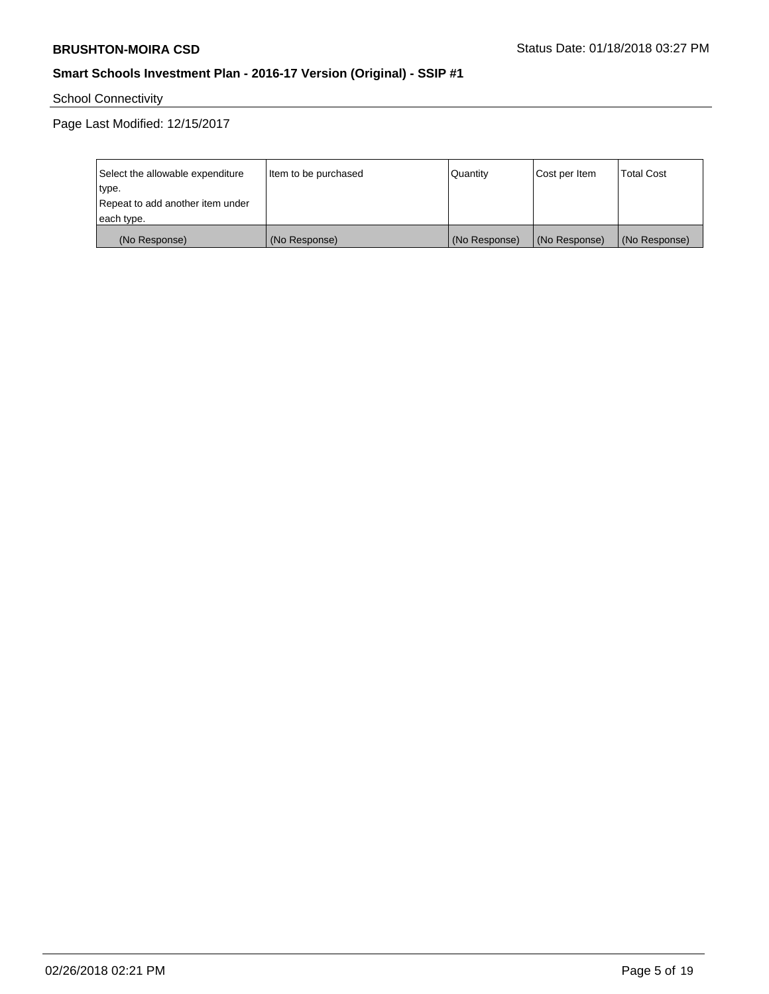School Connectivity

Page Last Modified: 12/15/2017

| Select the allowable expenditure | Item to be purchased | Quantity      | Cost per Item | <b>Total Cost</b> |
|----------------------------------|----------------------|---------------|---------------|-------------------|
| type.                            |                      |               |               |                   |
| Repeat to add another item under |                      |               |               |                   |
| each type.                       |                      |               |               |                   |
| (No Response)                    | (No Response)        | (No Response) | (No Response) | (No Response)     |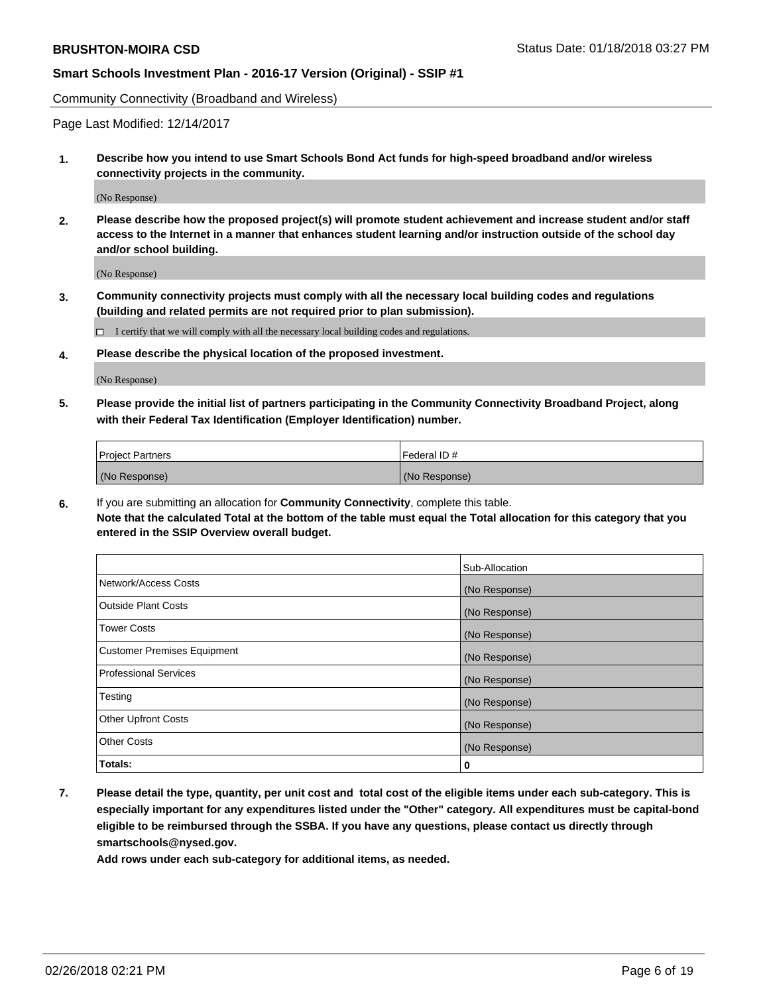Community Connectivity (Broadband and Wireless)

Page Last Modified: 12/14/2017

**1. Describe how you intend to use Smart Schools Bond Act funds for high-speed broadband and/or wireless connectivity projects in the community.**

(No Response)

**2. Please describe how the proposed project(s) will promote student achievement and increase student and/or staff access to the Internet in a manner that enhances student learning and/or instruction outside of the school day and/or school building.**

(No Response)

**3. Community connectivity projects must comply with all the necessary local building codes and regulations (building and related permits are not required prior to plan submission).**

 $\Box$  I certify that we will comply with all the necessary local building codes and regulations.

**4. Please describe the physical location of the proposed investment.**

(No Response)

**5. Please provide the initial list of partners participating in the Community Connectivity Broadband Project, along with their Federal Tax Identification (Employer Identification) number.**

| <b>Project Partners</b> | l Federal ID # |
|-------------------------|----------------|
| (No Response)           | (No Response)  |

**6.** If you are submitting an allocation for **Community Connectivity**, complete this table. **Note that the calculated Total at the bottom of the table must equal the Total allocation for this category that you entered in the SSIP Overview overall budget.**

|                                    | Sub-Allocation |
|------------------------------------|----------------|
| Network/Access Costs               | (No Response)  |
| Outside Plant Costs                | (No Response)  |
| <b>Tower Costs</b>                 | (No Response)  |
| <b>Customer Premises Equipment</b> | (No Response)  |
| Professional Services              | (No Response)  |
| Testing                            | (No Response)  |
| <b>Other Upfront Costs</b>         | (No Response)  |
| <b>Other Costs</b>                 | (No Response)  |
| Totals:                            | 0              |

**7. Please detail the type, quantity, per unit cost and total cost of the eligible items under each sub-category. This is especially important for any expenditures listed under the "Other" category. All expenditures must be capital-bond eligible to be reimbursed through the SSBA. If you have any questions, please contact us directly through smartschools@nysed.gov.**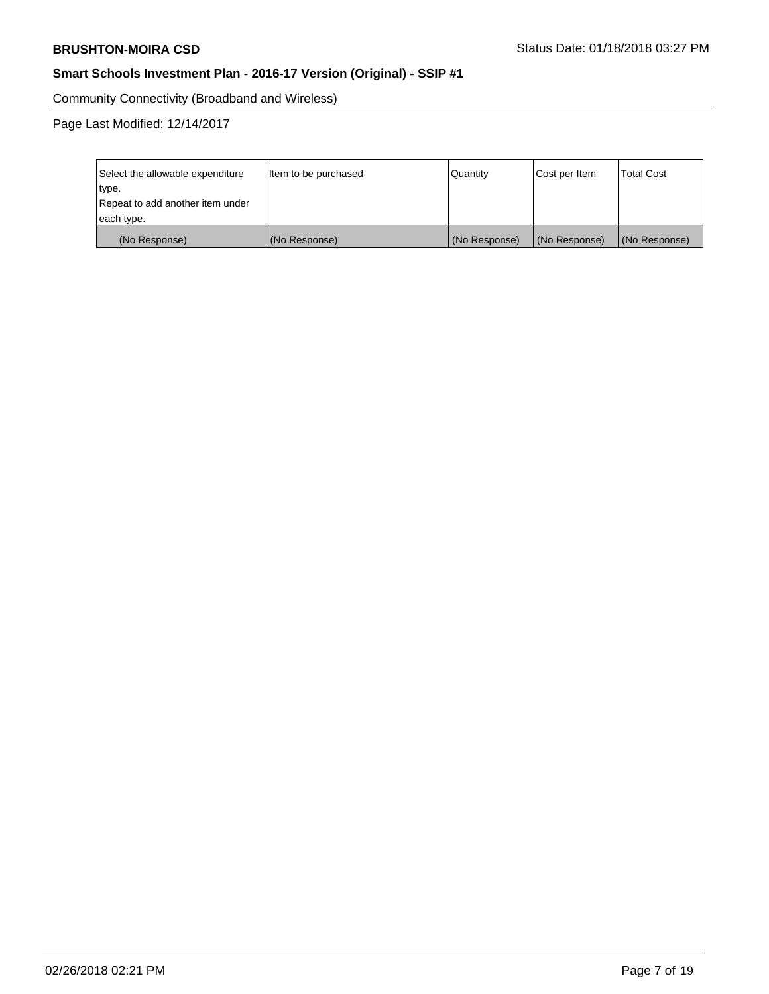Community Connectivity (Broadband and Wireless)

Page Last Modified: 12/14/2017

| Select the allowable expenditure | Item to be purchased | Quantity      | Cost per Item | <b>Total Cost</b> |
|----------------------------------|----------------------|---------------|---------------|-------------------|
| type.                            |                      |               |               |                   |
| Repeat to add another item under |                      |               |               |                   |
| each type.                       |                      |               |               |                   |
| (No Response)                    | (No Response)        | (No Response) | (No Response) | (No Response)     |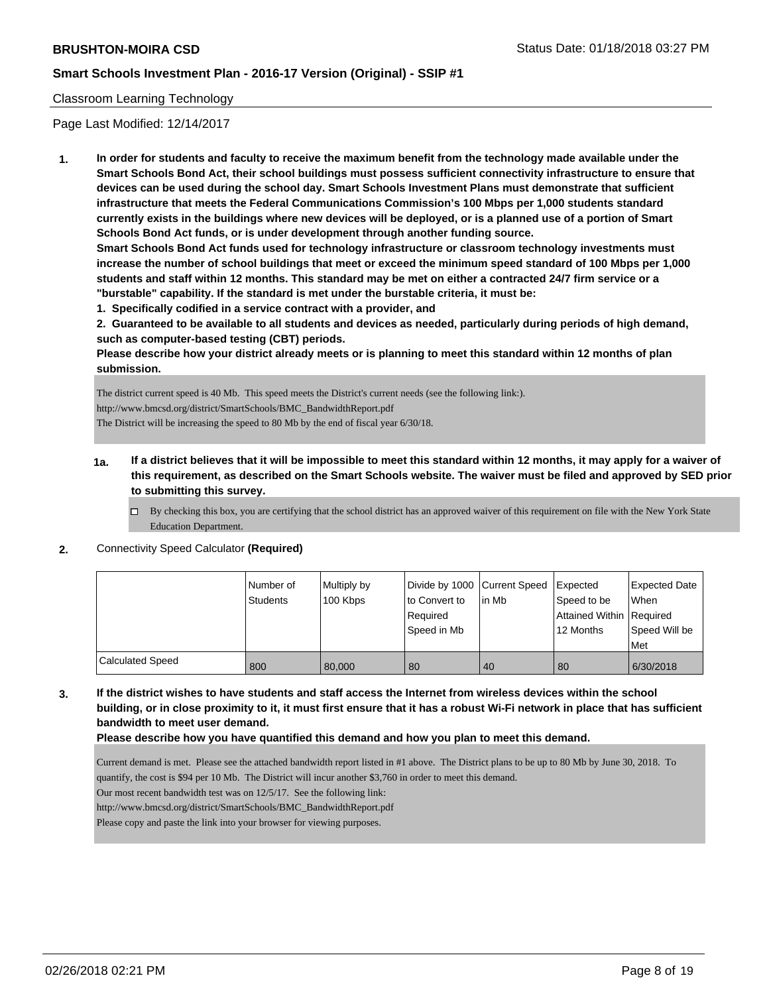#### Classroom Learning Technology

Page Last Modified: 12/14/2017

**1. In order for students and faculty to receive the maximum benefit from the technology made available under the Smart Schools Bond Act, their school buildings must possess sufficient connectivity infrastructure to ensure that devices can be used during the school day. Smart Schools Investment Plans must demonstrate that sufficient infrastructure that meets the Federal Communications Commission's 100 Mbps per 1,000 students standard currently exists in the buildings where new devices will be deployed, or is a planned use of a portion of Smart Schools Bond Act funds, or is under development through another funding source.**

**Smart Schools Bond Act funds used for technology infrastructure or classroom technology investments must increase the number of school buildings that meet or exceed the minimum speed standard of 100 Mbps per 1,000 students and staff within 12 months. This standard may be met on either a contracted 24/7 firm service or a "burstable" capability. If the standard is met under the burstable criteria, it must be:**

**1. Specifically codified in a service contract with a provider, and**

**2. Guaranteed to be available to all students and devices as needed, particularly during periods of high demand, such as computer-based testing (CBT) periods.**

**Please describe how your district already meets or is planning to meet this standard within 12 months of plan submission.**

The district current speed is 40 Mb. This speed meets the District's current needs (see the following link:). http://www.bmcsd.org/district/SmartSchools/BMC\_BandwidthReport.pdf

The District will be increasing the speed to 80 Mb by the end of fiscal year 6/30/18.

- **1a. If a district believes that it will be impossible to meet this standard within 12 months, it may apply for a waiver of this requirement, as described on the Smart Schools website. The waiver must be filed and approved by SED prior to submitting this survey.**
	- By checking this box, you are certifying that the school district has an approved waiver of this requirement on file with the New York State Education Department.
- **2.** Connectivity Speed Calculator **(Required)**

|                         | Number of<br>Students | Multiply by<br>100 Kbps | Divide by 1000 Current Speed<br>to Convert to<br>Required | lin Mb | Expected<br>Speed to be<br>Attained Within   Required | <b>Expected Date</b><br>When |
|-------------------------|-----------------------|-------------------------|-----------------------------------------------------------|--------|-------------------------------------------------------|------------------------------|
|                         |                       |                         | Speed in Mb                                               |        | 12 Months                                             | Speed Will be<br>Met         |
| <b>Calculated Speed</b> | 800                   | 80,000                  | 80                                                        | 40     | 80                                                    | 6/30/2018                    |

**3. If the district wishes to have students and staff access the Internet from wireless devices within the school building, or in close proximity to it, it must first ensure that it has a robust Wi-Fi network in place that has sufficient bandwidth to meet user demand.**

**Please describe how you have quantified this demand and how you plan to meet this demand.**

Current demand is met. Please see the attached bandwidth report listed in #1 above. The District plans to be up to 80 Mb by June 30, 2018. To quantify, the cost is \$94 per 10 Mb. The District will incur another \$3,760 in order to meet this demand.

Our most recent bandwidth test was on 12/5/17. See the following link:

http://www.bmcsd.org/district/SmartSchools/BMC\_BandwidthReport.pdf

Please copy and paste the link into your browser for viewing purposes.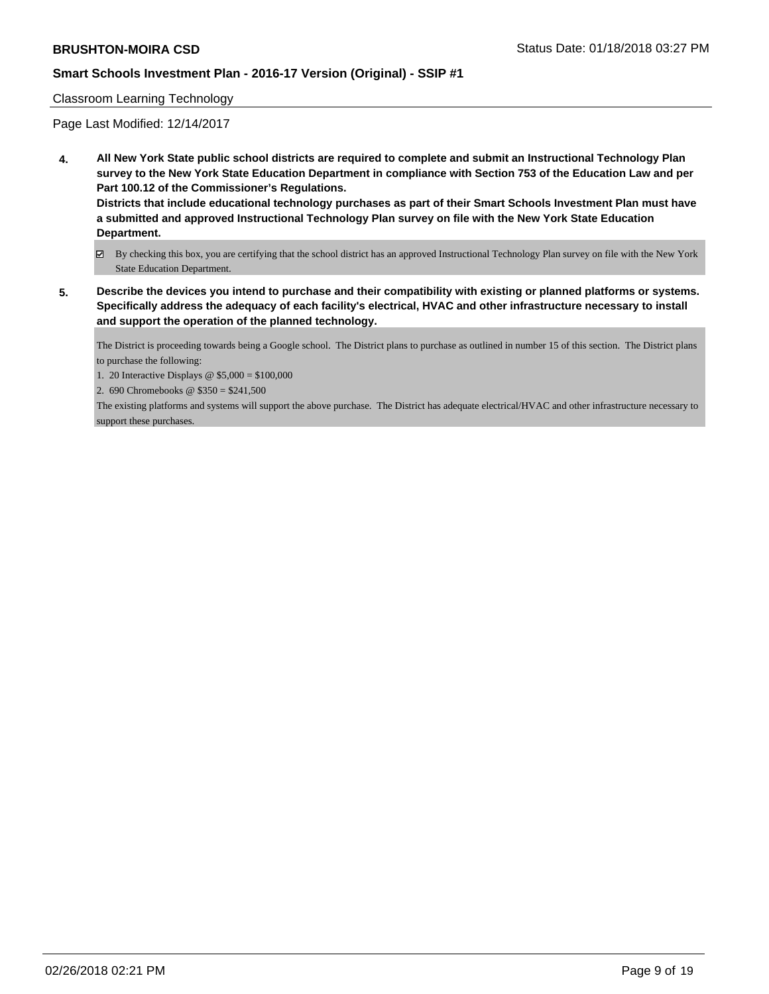#### Classroom Learning Technology

Page Last Modified: 12/14/2017

**4. All New York State public school districts are required to complete and submit an Instructional Technology Plan survey to the New York State Education Department in compliance with Section 753 of the Education Law and per Part 100.12 of the Commissioner's Regulations.**

**Districts that include educational technology purchases as part of their Smart Schools Investment Plan must have a submitted and approved Instructional Technology Plan survey on file with the New York State Education Department.**

- By checking this box, you are certifying that the school district has an approved Instructional Technology Plan survey on file with the New York State Education Department.
- **5. Describe the devices you intend to purchase and their compatibility with existing or planned platforms or systems. Specifically address the adequacy of each facility's electrical, HVAC and other infrastructure necessary to install and support the operation of the planned technology.**

The District is proceeding towards being a Google school. The District plans to purchase as outlined in number 15 of this section. The District plans to purchase the following:

1. 20 Interactive Displays @ \$5,000 = \$100,000

2. 690 Chromebooks @ \$350 = \$241,500

The existing platforms and systems will support the above purchase. The District has adequate electrical/HVAC and other infrastructure necessary to support these purchases.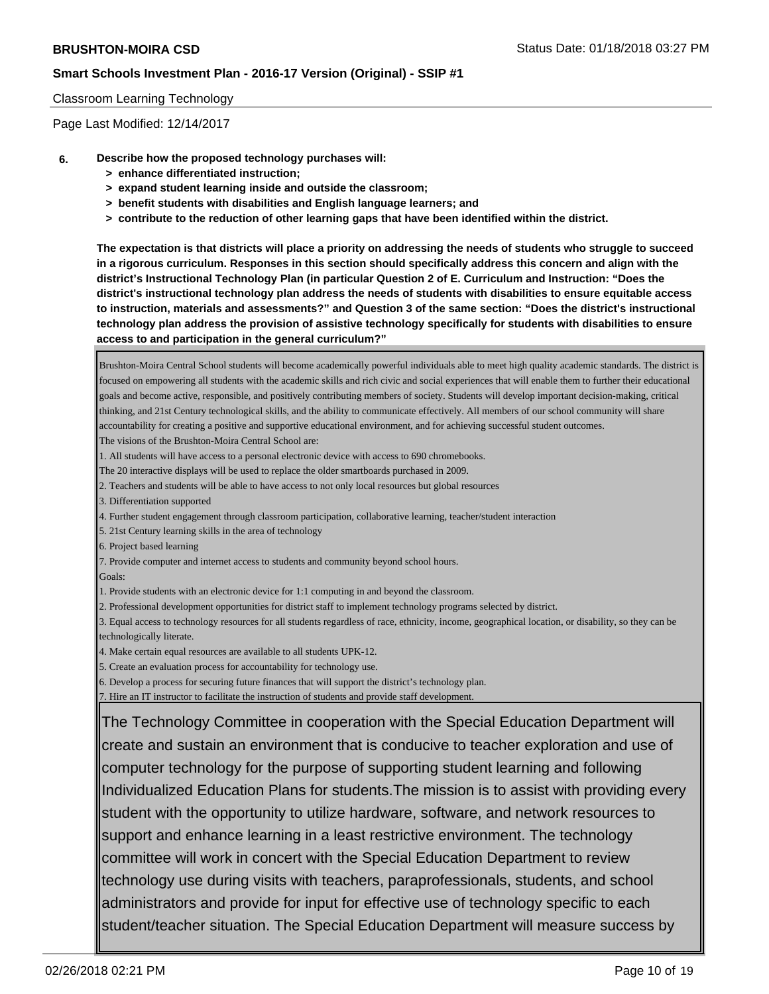#### Classroom Learning Technology

Page Last Modified: 12/14/2017

- **6. Describe how the proposed technology purchases will:**
	- **> enhance differentiated instruction;**
	- **> expand student learning inside and outside the classroom;**
	- **> benefit students with disabilities and English language learners; and**
	- **> contribute to the reduction of other learning gaps that have been identified within the district.**

**The expectation is that districts will place a priority on addressing the needs of students who struggle to succeed in a rigorous curriculum. Responses in this section should specifically address this concern and align with the district's Instructional Technology Plan (in particular Question 2 of E. Curriculum and Instruction: "Does the district's instructional technology plan address the needs of students with disabilities to ensure equitable access to instruction, materials and assessments?" and Question 3 of the same section: "Does the district's instructional technology plan address the provision of assistive technology specifically for students with disabilities to ensure access to and participation in the general curriculum?"**

Brushton-Moira Central School students will become academically powerful individuals able to meet high quality academic standards. The district is focused on empowering all students with the academic skills and rich civic and social experiences that will enable them to further their educational goals and become active, responsible, and positively contributing members of society. Students will develop important decision-making, critical thinking, and 21st Century technological skills, and the ability to communicate effectively. All members of our school community will share accountability for creating a positive and supportive educational environment, and for achieving successful student outcomes. The visions of the Brushton-Moira Central School are: 1. All students will have access to a personal electronic device with access to 690 chromebooks. The 20 interactive displays will be used to replace the older smartboards purchased in 2009. 2. Teachers and students will be able to have access to not only local resources but global resources 3. Differentiation supported 4. Further student engagement through classroom participation, collaborative learning, teacher/student interaction 5. 21st Century learning skills in the area of technology 6. Project based learning 7. Provide computer and internet access to students and community beyond school hours. Goals: 1. Provide students with an electronic device for 1:1 computing in and beyond the classroom. 2. Professional development opportunities for district staff to implement technology programs selected by district. 3. Equal access to technology resources for all students regardless of race, ethnicity, income, geographical location, or disability, so they can be technologically literate. 4. Make certain equal resources are available to all students UPK-12. 5. Create an evaluation process for accountability for technology use. 6. Develop a process for securing future finances that will support the district's technology plan. 7. Hire an IT instructor to facilitate the instruction of students and provide staff development. The Technology Committee in cooperation with the Special Education Department will create and sustain an environment that is conducive to teacher exploration and use of computer technology for the purpose of supporting student learning and following

Individualized Education Plans for students.The mission is to assist with providing every student with the opportunity to utilize hardware, software, and network resources to support and enhance learning in a least restrictive environment. The technology committee will work in concert with the Special Education Department to review technology use during visits with teachers, paraprofessionals, students, and school administrators and provide for input for effective use of technology specific to each student/teacher situation. The Special Education Department will measure success by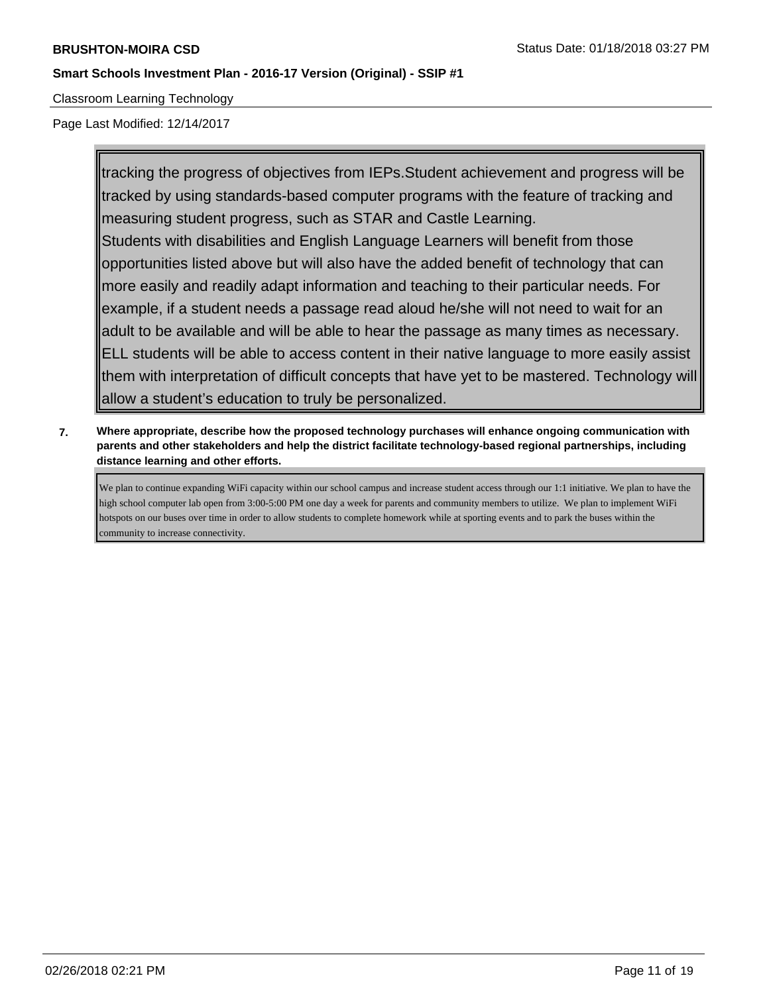Classroom Learning Technology

Page Last Modified: 12/14/2017

tracking the progress of objectives from IEPs.Student achievement and progress will be tracked by using standards-based computer programs with the feature of tracking and measuring student progress, such as STAR and Castle Learning. Students with disabilities and English Language Learners will benefit from those opportunities listed above but will also have the added benefit of technology that can more easily and readily adapt information and teaching to their particular needs. For example, if a student needs a passage read aloud he/she will not need to wait for an adult to be available and will be able to hear the passage as many times as necessary. ELL students will be able to access content in their native language to more easily assist them with interpretation of difficult concepts that have yet to be mastered. Technology will allow a student's education to truly be personalized.

**7. Where appropriate, describe how the proposed technology purchases will enhance ongoing communication with parents and other stakeholders and help the district facilitate technology-based regional partnerships, including distance learning and other efforts.**

We plan to continue expanding WiFi capacity within our school campus and increase student access through our 1:1 initiative. We plan to have the high school computer lab open from 3:00-5:00 PM one day a week for parents and community members to utilize. We plan to implement WiFi hotspots on our buses over time in order to allow students to complete homework while at sporting events and to park the buses within the community to increase connectivity.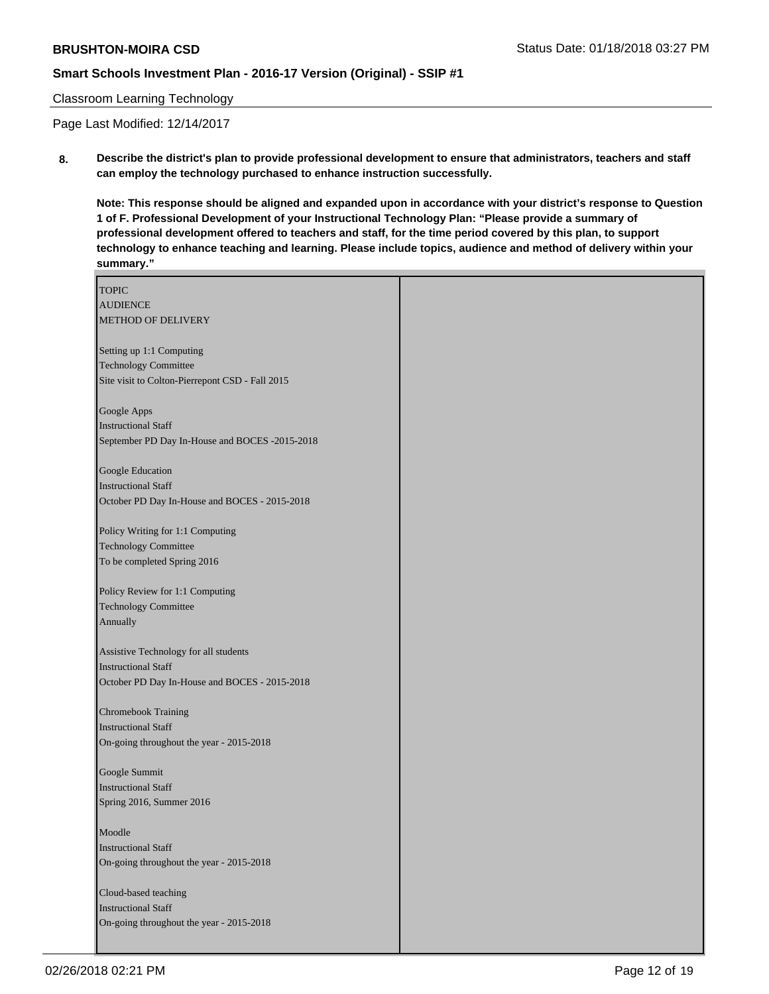#### Classroom Learning Technology

Page Last Modified: 12/14/2017

**8. Describe the district's plan to provide professional development to ensure that administrators, teachers and staff can employ the technology purchased to enhance instruction successfully.**

**Note: This response should be aligned and expanded upon in accordance with your district's response to Question 1 of F. Professional Development of your Instructional Technology Plan: "Please provide a summary of professional development offered to teachers and staff, for the time period covered by this plan, to support technology to enhance teaching and learning. Please include topics, audience and method of delivery within your summary."**

| <b>TOPIC</b>                                      |  |
|---------------------------------------------------|--|
| <b>AUDIENCE</b>                                   |  |
| METHOD OF DELIVERY                                |  |
|                                                   |  |
| Setting up 1:1 Computing                          |  |
| <b>Technology Committee</b>                       |  |
| Site visit to Colton-Pierrepont CSD - Fall 2015   |  |
|                                                   |  |
| Google Apps                                       |  |
| <b>Instructional Staff</b>                        |  |
| September PD Day In-House and BOCES -2015-2018    |  |
|                                                   |  |
| Google Education                                  |  |
| <b>Instructional Staff</b>                        |  |
| October PD Day In-House and BOCES - 2015-2018     |  |
|                                                   |  |
| Policy Writing for 1:1 Computing                  |  |
| <b>Technology Committee</b>                       |  |
| To be completed Spring 2016                       |  |
|                                                   |  |
| Policy Review for 1:1 Computing                   |  |
| <b>Technology Committee</b>                       |  |
| Annually                                          |  |
|                                                   |  |
| Assistive Technology for all students             |  |
| <b>Instructional Staff</b>                        |  |
| October PD Day In-House and BOCES - 2015-2018     |  |
|                                                   |  |
| Chromebook Training<br><b>Instructional Staff</b> |  |
| On-going throughout the year - 2015-2018          |  |
|                                                   |  |
| Google Summit                                     |  |
| <b>Instructional Staff</b>                        |  |
| Spring 2016, Summer 2016                          |  |
|                                                   |  |
| Moodle                                            |  |
| <b>Instructional Staff</b>                        |  |
| On-going throughout the year - 2015-2018          |  |
|                                                   |  |
| Cloud-based teaching                              |  |
| <b>Instructional Staff</b>                        |  |
| On-going throughout the year - 2015-2018          |  |
|                                                   |  |
|                                                   |  |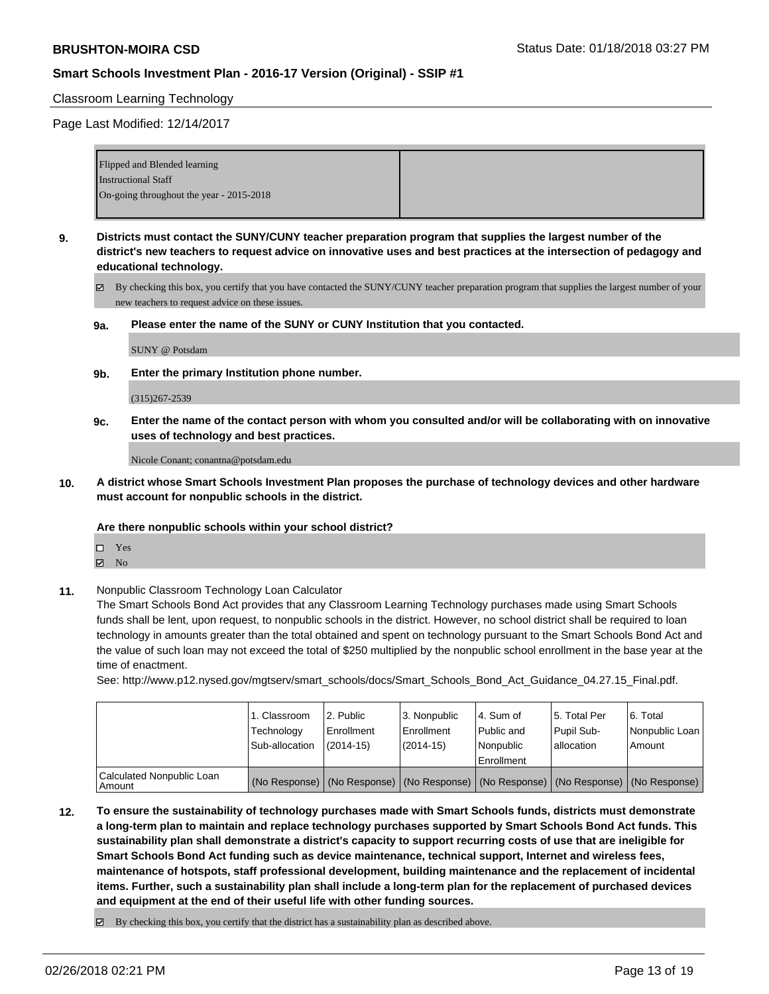#### Classroom Learning Technology

Page Last Modified: 12/14/2017

| Flipped and Blended learning             |  |
|------------------------------------------|--|
| <b>Instructional Staff</b>               |  |
| On-going throughout the year - 2015-2018 |  |
|                                          |  |

- **9. Districts must contact the SUNY/CUNY teacher preparation program that supplies the largest number of the district's new teachers to request advice on innovative uses and best practices at the intersection of pedagogy and educational technology.**
	- By checking this box, you certify that you have contacted the SUNY/CUNY teacher preparation program that supplies the largest number of your new teachers to request advice on these issues.
	- **9a. Please enter the name of the SUNY or CUNY Institution that you contacted.**

SUNY @ Potsdam

**9b. Enter the primary Institution phone number.**

#### (315)267-2539

**9c. Enter the name of the contact person with whom you consulted and/or will be collaborating with on innovative uses of technology and best practices.**

Nicole Conant; conantna@potsdam.edu

**10. A district whose Smart Schools Investment Plan proposes the purchase of technology devices and other hardware must account for nonpublic schools in the district.**

#### **Are there nonpublic schools within your school district?**

- Yes
- $\boxtimes$  No
- **11.** Nonpublic Classroom Technology Loan Calculator

The Smart Schools Bond Act provides that any Classroom Learning Technology purchases made using Smart Schools funds shall be lent, upon request, to nonpublic schools in the district. However, no school district shall be required to loan technology in amounts greater than the total obtained and spent on technology pursuant to the Smart Schools Bond Act and the value of such loan may not exceed the total of \$250 multiplied by the nonpublic school enrollment in the base year at the time of enactment.

See: http://www.p12.nysed.gov/mgtserv/smart\_schools/docs/Smart\_Schools\_Bond\_Act\_Guidance\_04.27.15\_Final.pdf.

|                                       | 1. Classroom<br>Technology<br>Sub-allocation | 2. Public<br>Enrollment<br>$(2014 - 15)$ | 13. Nonpublic<br>Enrollment<br>(2014-15) | 4. Sum of<br>l Public and<br>l Nonpublic<br>Enrollment                                        | l 5. Total Per<br>Pupil Sub-<br>allocation | l 6. Total<br>Nonpublic Loan<br>Amount |
|---------------------------------------|----------------------------------------------|------------------------------------------|------------------------------------------|-----------------------------------------------------------------------------------------------|--------------------------------------------|----------------------------------------|
| Calculated Nonpublic Loan<br>l Amount |                                              |                                          |                                          | (No Response)   (No Response)   (No Response)   (No Response)   (No Response)   (No Response) |                                            |                                        |

**12. To ensure the sustainability of technology purchases made with Smart Schools funds, districts must demonstrate a long-term plan to maintain and replace technology purchases supported by Smart Schools Bond Act funds. This sustainability plan shall demonstrate a district's capacity to support recurring costs of use that are ineligible for Smart Schools Bond Act funding such as device maintenance, technical support, Internet and wireless fees, maintenance of hotspots, staff professional development, building maintenance and the replacement of incidental items. Further, such a sustainability plan shall include a long-term plan for the replacement of purchased devices and equipment at the end of their useful life with other funding sources.**

 $\boxtimes$  By checking this box, you certify that the district has a sustainability plan as described above.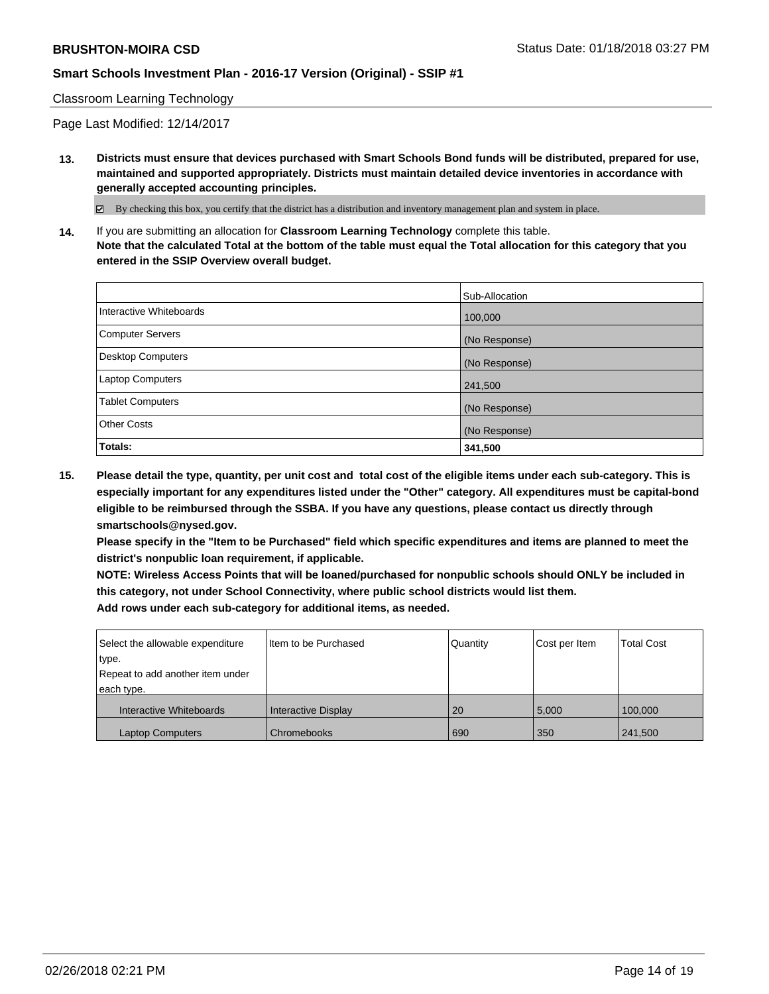Classroom Learning Technology

Page Last Modified: 12/14/2017

**13. Districts must ensure that devices purchased with Smart Schools Bond funds will be distributed, prepared for use, maintained and supported appropriately. Districts must maintain detailed device inventories in accordance with generally accepted accounting principles.**

By checking this box, you certify that the district has a distribution and inventory management plan and system in place.

**14.** If you are submitting an allocation for **Classroom Learning Technology** complete this table. **Note that the calculated Total at the bottom of the table must equal the Total allocation for this category that you entered in the SSIP Overview overall budget.**

|                          | Sub-Allocation |
|--------------------------|----------------|
| Interactive Whiteboards  | 100,000        |
| Computer Servers         | (No Response)  |
| <b>Desktop Computers</b> | (No Response)  |
| Laptop Computers         | 241,500        |
| <b>Tablet Computers</b>  | (No Response)  |
| <b>Other Costs</b>       | (No Response)  |
| Totals:                  | 341,500        |

**15. Please detail the type, quantity, per unit cost and total cost of the eligible items under each sub-category. This is especially important for any expenditures listed under the "Other" category. All expenditures must be capital-bond eligible to be reimbursed through the SSBA. If you have any questions, please contact us directly through smartschools@nysed.gov.**

**Please specify in the "Item to be Purchased" field which specific expenditures and items are planned to meet the district's nonpublic loan requirement, if applicable.**

**NOTE: Wireless Access Points that will be loaned/purchased for nonpublic schools should ONLY be included in this category, not under School Connectivity, where public school districts would list them. Add rows under each sub-category for additional items, as needed.**

| Select the allowable expenditure<br>type.<br>Repeat to add another item under<br>each type. | I Item to be Purchased     | Quantity | Cost per Item | <b>Total Cost</b> |
|---------------------------------------------------------------------------------------------|----------------------------|----------|---------------|-------------------|
| Interactive Whiteboards                                                                     | <b>Interactive Display</b> | 20       | 5.000         | 100.000           |
| <b>Laptop Computers</b>                                                                     | Chromebooks                | 690      | 350           | 241,500           |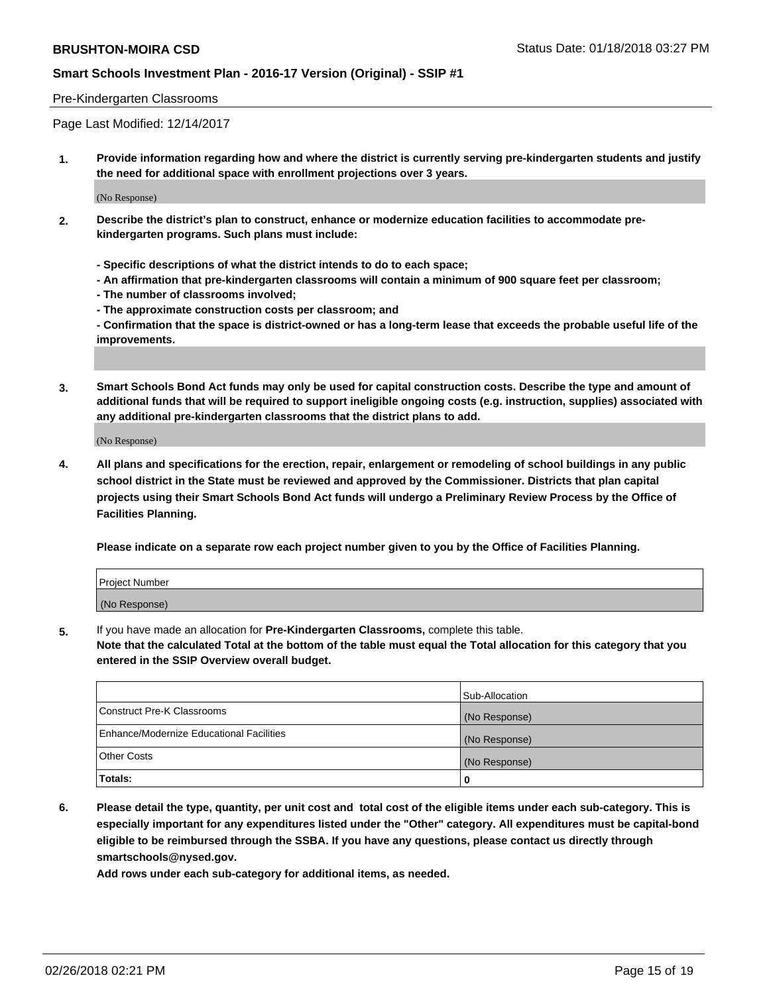#### Pre-Kindergarten Classrooms

Page Last Modified: 12/14/2017

**1. Provide information regarding how and where the district is currently serving pre-kindergarten students and justify the need for additional space with enrollment projections over 3 years.**

(No Response)

- **2. Describe the district's plan to construct, enhance or modernize education facilities to accommodate prekindergarten programs. Such plans must include:**
	- **Specific descriptions of what the district intends to do to each space;**
	- **An affirmation that pre-kindergarten classrooms will contain a minimum of 900 square feet per classroom;**
	- **The number of classrooms involved;**
	- **The approximate construction costs per classroom; and**
	- **Confirmation that the space is district-owned or has a long-term lease that exceeds the probable useful life of the improvements.**
- **3. Smart Schools Bond Act funds may only be used for capital construction costs. Describe the type and amount of additional funds that will be required to support ineligible ongoing costs (e.g. instruction, supplies) associated with any additional pre-kindergarten classrooms that the district plans to add.**

(No Response)

**4. All plans and specifications for the erection, repair, enlargement or remodeling of school buildings in any public school district in the State must be reviewed and approved by the Commissioner. Districts that plan capital projects using their Smart Schools Bond Act funds will undergo a Preliminary Review Process by the Office of Facilities Planning.**

**Please indicate on a separate row each project number given to you by the Office of Facilities Planning.**

| <b>Project Number</b> |  |
|-----------------------|--|
| (No Response)         |  |

**5.** If you have made an allocation for **Pre-Kindergarten Classrooms,** complete this table.

**Note that the calculated Total at the bottom of the table must equal the Total allocation for this category that you entered in the SSIP Overview overall budget.**

|                                          | Sub-Allocation |
|------------------------------------------|----------------|
| Construct Pre-K Classrooms               | (No Response)  |
| Enhance/Modernize Educational Facilities | (No Response)  |
| Other Costs                              | (No Response)  |
| Totals:                                  | 0              |

**6. Please detail the type, quantity, per unit cost and total cost of the eligible items under each sub-category. This is especially important for any expenditures listed under the "Other" category. All expenditures must be capital-bond eligible to be reimbursed through the SSBA. If you have any questions, please contact us directly through smartschools@nysed.gov.**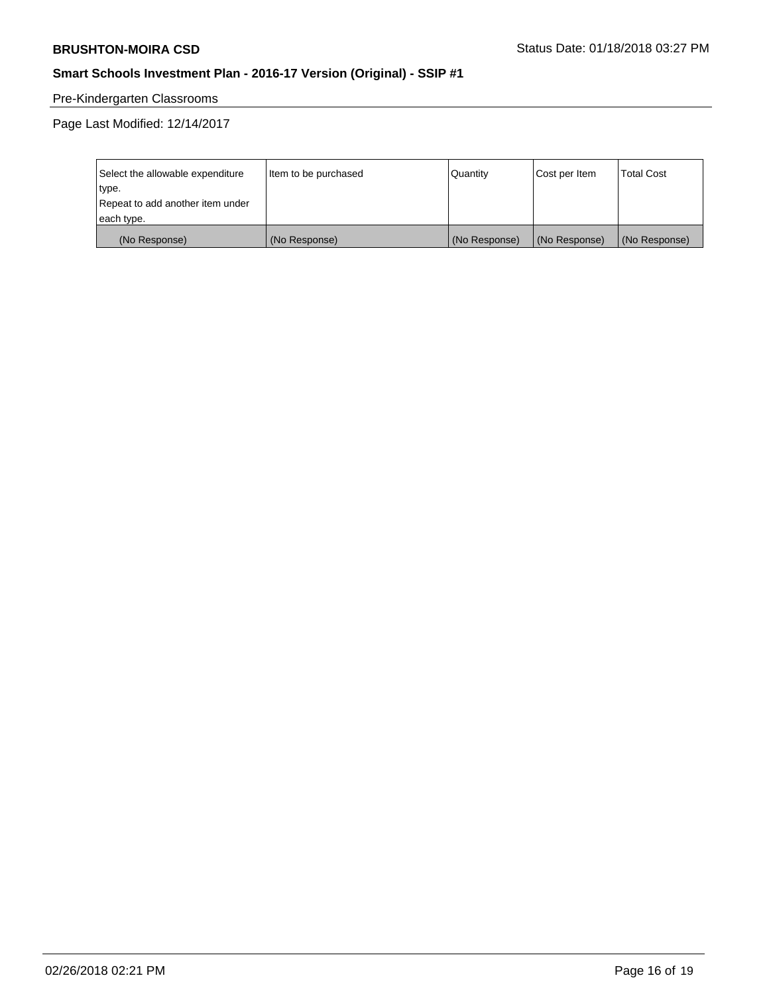# Pre-Kindergarten Classrooms

Page Last Modified: 12/14/2017

| Select the allowable expenditure | Item to be purchased | Quantity      | Cost per Item | <b>Total Cost</b> |
|----------------------------------|----------------------|---------------|---------------|-------------------|
| type.                            |                      |               |               |                   |
| Repeat to add another item under |                      |               |               |                   |
| each type.                       |                      |               |               |                   |
| (No Response)                    | (No Response)        | (No Response) | (No Response) | (No Response)     |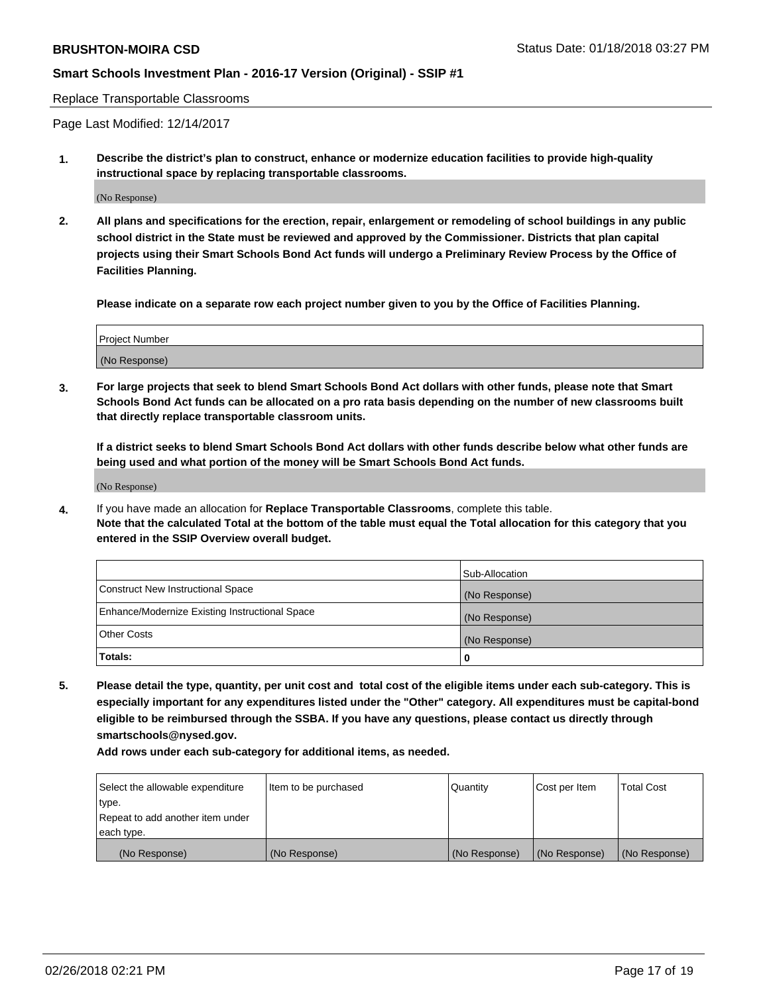Replace Transportable Classrooms

Page Last Modified: 12/14/2017

**1. Describe the district's plan to construct, enhance or modernize education facilities to provide high-quality instructional space by replacing transportable classrooms.**

(No Response)

**2. All plans and specifications for the erection, repair, enlargement or remodeling of school buildings in any public school district in the State must be reviewed and approved by the Commissioner. Districts that plan capital projects using their Smart Schools Bond Act funds will undergo a Preliminary Review Process by the Office of Facilities Planning.**

**Please indicate on a separate row each project number given to you by the Office of Facilities Planning.**

| <b>Project Number</b> |  |
|-----------------------|--|
| (No Response)         |  |
|                       |  |

**3. For large projects that seek to blend Smart Schools Bond Act dollars with other funds, please note that Smart Schools Bond Act funds can be allocated on a pro rata basis depending on the number of new classrooms built that directly replace transportable classroom units.**

**If a district seeks to blend Smart Schools Bond Act dollars with other funds describe below what other funds are being used and what portion of the money will be Smart Schools Bond Act funds.**

(No Response)

**4.** If you have made an allocation for **Replace Transportable Classrooms**, complete this table. **Note that the calculated Total at the bottom of the table must equal the Total allocation for this category that you entered in the SSIP Overview overall budget.**

|                                                | Sub-Allocation |
|------------------------------------------------|----------------|
| Construct New Instructional Space              | (No Response)  |
| Enhance/Modernize Existing Instructional Space | (No Response)  |
| Other Costs                                    | (No Response)  |
| Totals:                                        | 0              |

**5. Please detail the type, quantity, per unit cost and total cost of the eligible items under each sub-category. This is especially important for any expenditures listed under the "Other" category. All expenditures must be capital-bond eligible to be reimbursed through the SSBA. If you have any questions, please contact us directly through smartschools@nysed.gov.**

| Select the allowable expenditure | Item to be purchased | Quantity      | Cost per Item | <b>Total Cost</b> |
|----------------------------------|----------------------|---------------|---------------|-------------------|
| type.                            |                      |               |               |                   |
| Repeat to add another item under |                      |               |               |                   |
| each type.                       |                      |               |               |                   |
| (No Response)                    | (No Response)        | (No Response) | (No Response) | (No Response)     |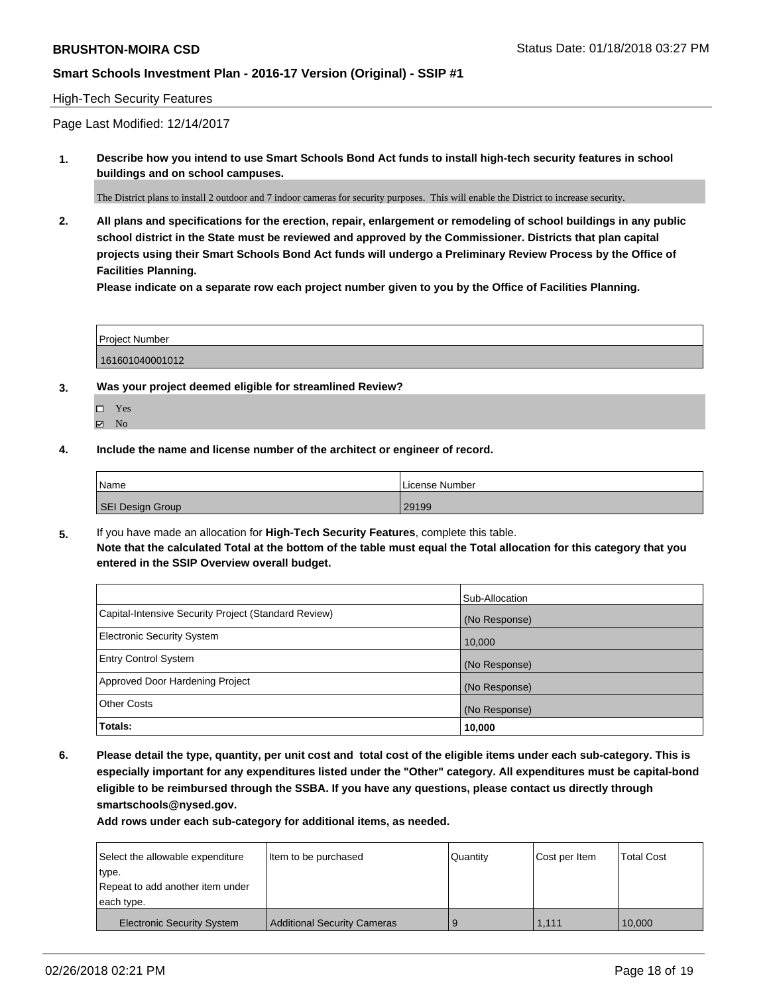#### High-Tech Security Features

Page Last Modified: 12/14/2017

**1. Describe how you intend to use Smart Schools Bond Act funds to install high-tech security features in school buildings and on school campuses.**

The District plans to install 2 outdoor and 7 indoor cameras for security purposes. This will enable the District to increase security.

**2. All plans and specifications for the erection, repair, enlargement or remodeling of school buildings in any public school district in the State must be reviewed and approved by the Commissioner. Districts that plan capital projects using their Smart Schools Bond Act funds will undergo a Preliminary Review Process by the Office of Facilities Planning.** 

**Please indicate on a separate row each project number given to you by the Office of Facilities Planning.**

| <b>Project Number</b> |  |  |
|-----------------------|--|--|
|                       |  |  |
| 161601040001012       |  |  |

- **3. Was your project deemed eligible for streamlined Review?**
	- Yes **Z** No
- **4. Include the name and license number of the architect or engineer of record.**

| Name                    | License Number |
|-------------------------|----------------|
| <b>SEI Design Group</b> | 29199          |

**5.** If you have made an allocation for **High-Tech Security Features**, complete this table. **Note that the calculated Total at the bottom of the table must equal the Total allocation for this category that you entered in the SSIP Overview overall budget.**

|                                                      | Sub-Allocation |
|------------------------------------------------------|----------------|
| Capital-Intensive Security Project (Standard Review) | (No Response)  |
| <b>Electronic Security System</b>                    | 10,000         |
| <b>Entry Control System</b>                          | (No Response)  |
| Approved Door Hardening Project                      | (No Response)  |
| <b>Other Costs</b>                                   | (No Response)  |
| Totals:                                              | 10,000         |

**6. Please detail the type, quantity, per unit cost and total cost of the eligible items under each sub-category. This is especially important for any expenditures listed under the "Other" category. All expenditures must be capital-bond eligible to be reimbursed through the SSBA. If you have any questions, please contact us directly through smartschools@nysed.gov.**

| Select the allowable expenditure  | Item to be purchased               | Quantity | Cost per Item | <b>Total Cost</b> |
|-----------------------------------|------------------------------------|----------|---------------|-------------------|
| type.                             |                                    |          |               |                   |
| Repeat to add another item under  |                                    |          |               |                   |
| each type.                        |                                    |          |               |                   |
| <b>Electronic Security System</b> | <b>Additional Security Cameras</b> |          | 1.111         | 10.000            |